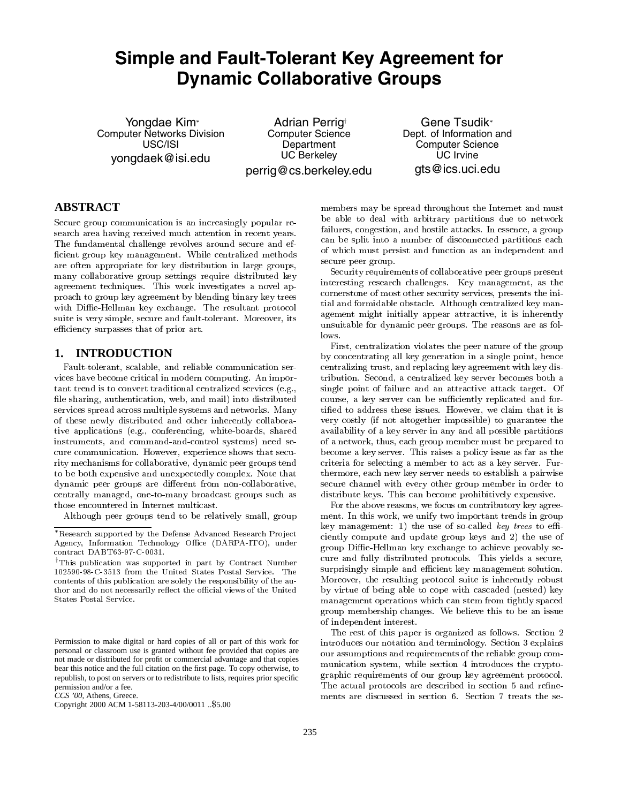# **Simple and Fault-Tolerant Key Agreement for Dynamic Collaborative Groups**

Yongdae Kim Computer Networks Division USC/ISI yongdaek@isi.edu

Adrian Perrigt Computer Science Department UC Berkeley perrig@cs.berkeley.edu

Gene Tsudik Dept. of Information and Computer Science UC Irvine gts@ics.uci.edu

## **ABSTRACT**

Secure group communication is an increasingly popular re search area having received much attention in recent years. The fundamental challenge revolves around secure and ef ficient group key management. While centralized methods are often appropriate for key distribution in large groups, many collaborative group settings require distributed key agreement techniques. This work investigates a novel approach to group key agreement by blending binary key trees with Diffie-Hellman key exchange. The resultant protocol suite is very simple, secure and fault-tolerant. Moreover, its efficiency surpasses that of prior art.

#### **1. INTRODUCTION**

Fault-tolerant, scalable, and reliable communication services have become critical in modern computing. An important trend is to convert traditional centralized services (e.g., file sharing, authentication, web, and mail) into distributed services spread across multiple systems and networks. Many of these newly distributed and other inherently collaborative applications (e.g., conferencing, white-boards, shared instruments, and command-and-control systems) need se-cure communication. However, experience shows that security mechanisms for collaborative, dynamic peer groups tend to be both expensive and unexpectedly complex. Note that dynamic peer groups are different from non-collaborative, centrally managed, one-to-many broadcast groups such as those encountered in Internet multicast.

Although peer groups tend to be relatively small, group

*CCS '00,* Athens, Greece.

Copyright 2000 ACM 1-58113-203-4/00/0011 ..\$5.00

members may be spread throughout the Internet and must be able to deal with arbitrary partitions due to network failures, congestion, and hostile attacks. In essence, a group can be split into a number of disconnected partitions each of which must persist and function as an independent and secure peer group.

Security requirements of collaborative peer groups present interesting research challenges. Key management, as the cornerstone of most other security services, presents the initial and formidable obstacle. Although centralized key management might initially appear attractive, it is inherently unsuitable for dynamic peer groups. The reasons are as fol- $\log s$ 

First, centralization violates the peer nature of the group by concentrating all key generation in a single point, hence centralizing trust, and replacing key agreement with key distribution. Second, a centralized key server becomes both a single point of failure and an attractive attack target. Of course, a key server can be sufficiently replicated and fortied to address these issues. However, we claim that it is very costly (if not altogether impossible) to guarantee the availability of a key server in any and all possible partitions of a network, thus, each group member must be prepared to become a key server. This raises a policy issue as far as the criteria for selecting a member to act as a key server. Fur thermore, each new key server needs to establish a pairwise secure channel with every other group member in order to distribute keys. This can become prohibitively expensive.

For the above reasons, we focus on contributory key agree ment. In this work, we unify two important trends in group key management: 1) the use of so-called key trees to efficiently compute and update group keys and 2) the use of group Diffie-Hellman key exchange to achieve provably secure and fully distributed protocols. This yields a secure, surprisingly simple and efficient key management solution. Moreover, the resulting protocol suite is inherently robust by virtue of being able to cope with cascaded (nested) key management operations which can stem from tightly spaced group membership changes. We believe this to be an issue of independent interest.

The rest of this paper is organized as follows. Section 2 introduces our notation and terminology. Section 3 explains our assumptions and requirements of the reliable group com munication system, while section 4 introduces the cryptographic requirements of our group key agreement protocol. The actual protocols are described in section 5 and refinements are discussed in section 6. Section 7 treats the se-

<sup>\*</sup>Research supported by the Defense Advanced Research Project Agency, Information Technology Office (DARPA-ITO), under contract DABT63-97-C-0031.

<sup>&</sup>lt;sup>†</sup>This publication was supported in part by Contract Number 102590-98-C-3513 from the United States Postal Service. The contents of this publication are solely the responsibility of the author and do not necessarily reflect the official views of the United States Postal Service.

Permission to make digital or hard copies of all or part of this work for personal or classroom use is granted without fee provided that copies are not made or distributed for profit or commercial advantage and that copies bear this notice and the full citation on the first page. To copy otherwise, to republish, to post on servers or to redistribute to lists, requires prior specific permission and/or a fee.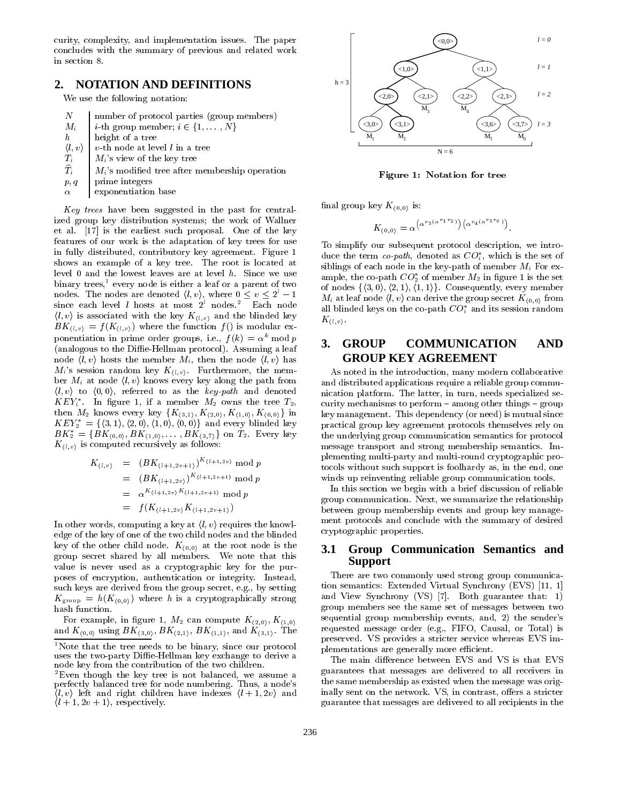curity, complexity, and implementation issues. The paper concludes with the summary of previous and related work in section 8.

## **2. NOTATION AND DEFINITIONS**

We use the following notation:

$$
N \qquad \qquad {\rm number~of~protocol~particles~(group~members)}
$$

 $M_i$  | *i*-th group member;  $i \in \{1,\ldots,N\}$ 

 $h$  | height of a tree

- $\langle l, v \rangle$  v-th node at level l in a tree
- $T_i$  |  $M_i$ 's view of the key tree

 $T_i = \mid M_i \rangle$ s modified tree after membership operation

- $p, q$  | prime integers
	- exponentiation base

Key trees have been suggested in the past for centralized group key distribution systems; the work of Wallner et al. [17] is the earliest such proposal. One of the key features of our work is the adaptation of key trees for use in fully distributed, contributory key agreement. Figure 1 shows an example of a key tree. The root is located at level  $0$  and the lowest leaves are at level  $h$ . Since we use binary trees,<sup>1</sup> every node is either a leaf or a parent of two nodes. The nodes are denoted  $\langle i, v \rangle$ , where  $0 \le v \le 2 - 1$ since each level *t* nosts at most 2° nodes." Each node are <sub>al</sub>  $\langle l, v \rangle$  is associated with the key  $K_{\langle l, v \rangle}$  and the blinded key  $BK_{\langle l,v \rangle} = f(K_{\langle l,v \rangle})$  where the function  $f()$  is modular exponentiation in prime order groups, i.e.,  $f(k) = \alpha^k \mod p$  3. (analogous to the Diffie-Hellman protocol). Assuming a leaf node  $\langle l, v \rangle$  hosts the member  $M_i$ , then the node  $\langle l, v \rangle$  has  $M_i$ 's session random key  $K_{\langle l,v \rangle}$ . Furthermore, the member  $M_i$  at node  $\langle l, v \rangle$  knows every key along the path from  $\langle l, v \rangle$  to  $\langle 0, 0 \rangle$ , referred to as the key-path and denoted  $\boldsymbol{K} E \boldsymbol{Y}_i$  . In figure 1, if a member  $M_2$  owns the tree  $\boldsymbol{T}_2$ ,  $\sum_{i=1}^{n}$  knows every  $K_{i,j}$  ;  $K_{i,j}$  ;  $K_{i,j}$ ;  $K_{i,j}$ ;  $K_{i,j}$ ;  $K_{i,j}$ ;  $K_{i,j}$ ;  $K_{i,j}$ ;  $K_{i,j}$  $K EY_2 = \{(3, 1), (2, 0), (1, 0), (0, 0)\}\$ and every blinded key bra  $B\mathbf{K}_2 = \{B\mathbf{K}_{(0,0)}, B\mathbf{K}_{(1,0)}, \ldots, B\mathbf{K}_{(3,7)}\}$  on  $T_2$ . Every key the  $K_{\langle l,v\rangle}$  is computed recursively as follows:

$$
K_{\langle l,v\rangle} = (BK_{\langle l+1,2v+1\rangle})^{K_{\langle l+1,2v\rangle}} \bmod p
$$
  
\n
$$
= (BK_{\langle l+1,2v\rangle})^{K_{\langle l+1,2v+1\rangle}} \bmod p
$$
  
\n
$$
= \alpha^{K_{\langle l+1,2v\rangle}K_{\langle l+1,2v+1\rangle}} \bmod p
$$
  
\n
$$
= f(K_{\langle l+1,2v\rangle}K_{\langle l+1,2v+1\rangle})
$$

In other words, computing a key at  $\langle l, v \rangle$  requires the knowledge of the key of one of the two child nodes and the blinded key of the other child node.  $K_{(0,0)}$  at the root node is the 3.1 group secret shared by all members. We note that this value is never used as a cryptographic key for the purposes of encryption, authentication or integrity. Instead, such keys are derived from the group secret, e.g., by setting  $\mathsf{F}=\mathsf{K}$ 100;) where here has a cryptographic linear  $\mathcal{F}$  , where  $\mathcal{F}$ hash function.

 $\mathbf{r}$  or example, in again  $\mathbf{r}$ ,  $\mathbf{m}_2$  can compute  $\mathbf{r}_{k,0}$ ;  $\mathbf{r}_{k+1,0}$ ; and Kh0;0i using BKh3;0i ;BKh3;1i ;BKh3;1i ;BKh3;1i . The Kh3;1i . The Kh3;1i . The Kh3;1i . The Kh3;1i . The K



Figure 1: Notation for tree

final group key  $K_{(0,0)}$  is:

$$
K_{\langle 0,0\rangle}=\alpha^{\left(\alpha^{r_3(\alpha^{r_1r_2})}\right)\left(\alpha^{r_4(\alpha^{r_5r_6})}\right)}.
$$

 $\mathcal{M}_i$  at leaf node  $\langle i, v \rangle$  can derive the group secret  $\mathbf{\Lambda}_{(0,0)}$  from To simplify our subsequent protocol description, we introduce the term *co-path*, denoted as  $\mathcal{O}O_i$ , which is the set of siblings of each node in the key-path of member  $M_i$  For example, the co-path  $CO_2$  of member  $M_2$  in figure 1 is the set of nodes  $\{\langle 3, 0 \rangle, \langle 2, 1 \rangle, \langle 1, 1 \rangle\}$ . Consequently, every member all blinded keys on the co-path  $\mathop{CO_i}\nolimits$  and its session random  $K_{\langle l,v \rangle}$ .

# **3. GROUP COMMUNICATION AND GROUP KEY AGREEMENT**

As noted in the introduction, many modern collaborative and distributed applications require a reliable group commu nication platform. The latter, in turn, needs specialized security mechanisms to perform  ${=}$  among other things  ${=}$  group key management. This dependency (or need) is mutual since practical group key agreement protocols themselves rely on the underlying group communication semantics for protocol message transport and strong membership semantics. Implementing multi-party and multi-round cryptographic protocols without such support is foolhardy as, in the end, one winds up reinventing reliable group communication tools.

In this section we begin with a brief discussion of reliable group communication. Next, we summarize the relationship between group membership events and group key manage ment protocols and conclude with the summary of desired cryptographic properties.

#### **3.1 Group Communication Semantics and Support**

There are two commonly used strong group communication semantics: Extended Virtual Synchrony (EVS) [11, 1] and View Synchrony (VS) [7]. Both guarantee that: 1) group members see the same set of messages between two sequential group membership events, and, 2) the sender's requested message order (e.g., FIFO, Causal, or Total) is preserved. VS provides a stricter service whereas EVS implementations are generally more efficient.

The main difference between EVS and VS is that EVS guarantees that messages are delivered to all receivers in the same membership as existed when the message was originally sent on the network. VS, in contrast, offers a stricter guarantee that messages are delivered to all recipients in the

<sup>&</sup>lt;sup>1</sup>Note that the tree needs to be binary, since our protocol uses the two-party Diffie-Hellman key exchange to derive a node key from the contribution of the two children.

<sup>2</sup>Even though the key tree is not balanced, we assume a perfectly balanced tree for node numbering. Thus, a node's  $\langle l, v \rangle$  left and right children have indexes  $\langle l + 1, 2v \rangle$  and  $\langle l + 1, 2v + 1 \rangle$ , respectively.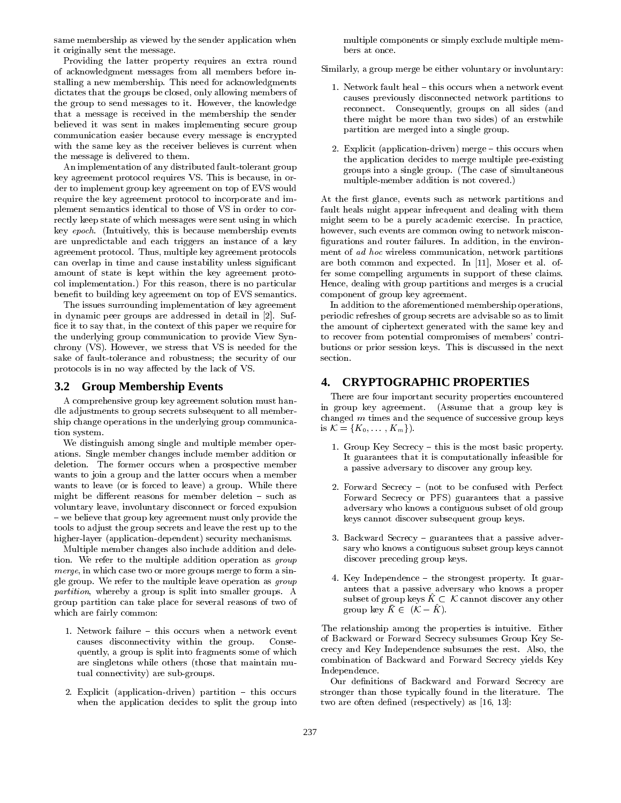same membership as viewed by the sender application when it originally sent the message.

Providing the latter property requires an extra round of acknowledgment messages from all members before installing a new membership. This need for acknowledgments dictates that the groups be closed, only allowing members of the group to send messages to it. However, the knowledge that a message is received in the membership the sender believed it was sent in makes implementing secure group communication easier because every message is encrypted with the same key as the receiver believes is current when the message is delivered to them.

An implementation of any distributed fault-tolerant group key agreement protocol requires VS. This is because, in order to implement group key agreement on top of EVS would require the key agreement protocol to incorporate and implement semantics identical to those of VS in order to correctly keep state of which messages were sent using in which key epoch. (Intuitively, this is because membership events are unpredictable and each triggers an instance of a key agreement protocol. Thus, multiple key agreement protocols can overlap in time and cause instability unless signicant amount of state is kept within the key agreement protocol implementation.) For this reason, there is no particular benet to building key agreement on top of EVS semantics.

The issues surrounding implementation of key agreement in dynamic peer groups are addressed in detail in [2]. Suf fice it to say that, in the context of this paper we require for the underlying group communication to provide View Syn chrony (VS). However, we stress that VS is needed for the sake of fault-tolerance and robustness; the security of our protocols is in no way affected by the lack of VS.

## **3.2 Group Membership Events**

A comprehensive group key agreement solution must handle adjustments to group secrets subsequent to all membership change operations in the underlying group communication system.

We distinguish among single and multiple member operations. Single member changes include member addition or deletion. The former occurs when a prospective member wants to join a group and the latter occurs when a member wants to leave (or is forced to leave) a group. While there might be different reasons for member deletion  $-$  such as voluntary leave, involuntary disconnect or forced expulsion - we believe that group key agreement must only provide the tools to adjust the group secrets and leave the rest up to the higher-layer (application-dependent) security mechanisms.

Multiple member changes also include addition and deletion. We refer to the multiple addition operation as group merge, in which case two or more groups merge to form a single group. We refer to the multiple leave operation as group partition, whereby a group is split into smaller groups. A group partition can take place for several reasons of two of which are fairly common:

- 1. Network failure this occurs when a network event causes disconnectivity within the group. Consequently, a group is split into fragments some of which are singletons while others (those that maintain mu tual connectivity) are sub-groups.
- 2. Explicit (application-driven) partition  $-$  this occurs when the application decides to split the group into

multiple components or simply exclude multiple members at once.

Similarly, a group merge be either voluntary or involuntary:

- 1. Network fault heal this occurs when a network event causes previously disconnected network partitions to reconnect. Consequently, groups on all sides (and there might be more than two sides) of an erstwhile partition are merged into a single group.
- 2. Explicit (application-driven) merge  $-$  this occurs when the application decides to merge multiple pre-existing groups into a single group. (The case of simultaneous multiple-member addition is not covered.)

At the first glance, events such as network partitions and fault heals might appear infrequent and dealing with them might seem to be a purely academic exercise. In practice, however, such events are common owing to network miscon figurations and router failures. In addition, in the environment of ad hoc wireless communication, network partitions are both common and expected. In [11], Moser et al. offer some compelling arguments in support of these claims. Hence, dealing with group partitions and merges is a crucial component of group key agreement.

In addition to the aforementioned membership operations, periodic refreshes of group secrets are advisable so as to limit the amount of ciphertext generated with the same key and to recover from potential compromises of members' contributions or prior session keys. This is discussed in the next section.

## **4. CRYPTOGRAPHIC PROPERTIES**

There are four important security properties encountered in group key agreement. (Assume that a group key is changed  $m$  times and the sequence of successive group keys is <sup>K</sup> = fK0 ;::: ;Kmg).

- 1. Group Key Secrecy  $-$  this is the most basic property. It guarantees that it is computationally infeasible for a passive adversary to discover any group key.
- 2. Forward Secrecy  $=$  (not to be confused with Perfect Forward Secrecy or PFS) guarantees that a passive adversary who knows a contiguous subset of old group keys cannot discover subsequent group keys.
- 3. Backward Secrecy guarantees that a passive adversary who knows a contiguous subset group keys cannot discover preceding group keys.
- 4. Key Independence the strongest property. It guarantees that a passive adversary who knows a proper subset of group keys  $\tilde{K} \subset \mathcal{K}$  cannot discover any other group key  $\bar{K} \in (\mathcal{K} - \bar{K})$ .

The relationship among the properties is intuitive. Either of Backward or Forward Secrecy subsumes Group Key Secrecy and Key Independence subsumes the rest. Also, the combination of Backward and Forward Secrecy yields Key Independence.

Our definitions of Backward and Forward Secrecy are stronger than those typically found in the literature. The two are often defined (respectively) as  $[16, 13]$ :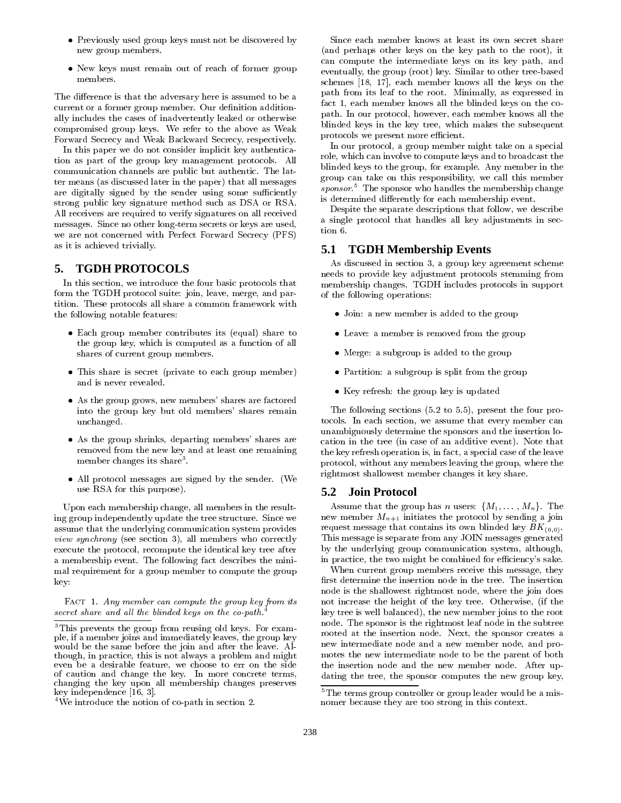- Previously used group keys must not be discovered by new group members.
- New keys must remain out of reach of former group

The difference is that the adversary here is assumed to be a current or a former group member. Our definition additionally includes the cases of inadvertently leaked or otherwise compromised group keys. We refer to the above as Weak Forward Secrecy and Weak Backward Secrecy, respectively.

In this paper we do not consider implicit key authentication as part of the group key management protocols. All communication channels are public but authentic. The latter means (as discussed later in the paper) that all messages are digitally signed by the sender using some sufficiently strong public key signature method such as DSA or RSA. All receivers are required to verify signatures on all received messages. Since no other long-term secrets or keys are used, we are not concerned with Perfect Forward Secrecy (PFS) as it is achieved trivially.

# **5. TGDH PROTOCOLS**

In this section, we introduce the four basic protocols that form the TGDH protocol suite: join, leave, merge, and partition. These protocols all share a common framework with the following notable features:

- Each group member contributes its (equal) share to the group key, which is computed as a function of all shares of current group members.
- This share is secret (private to each group member) and is never revealed.
- As the group grows, new members' shares are factored into the group key but old members' shares remain unchanged.  $m = 1$ unchanged.
- As the group shrinks, departing members' shares are removed from the new key and at least one remaining member changes its share<sup>-</sup>.
- All protocol messages are signed by the sender. (We use RSA for this purpose).

Upon each membership change, all members in the resulting group independently update the tree structure. Since we assume that the underlying communication system provides view synchrony (see section 3), all members who correctly execute the protocol, recompute the identical key tree after a membership event. The following fact describes the minimal requirement for a group member to compute the group key:

FACT 1. Any member can compute the group key from its secret share and all the blinded keys on the co-path.<sup>4</sup>

Since each member knows at least its own secret share (and perhaps other keys on the key path to the root), it can compute the intermediate keys on its key path, and eventually, the group (root) key. Similar to other tree-based schemes [18, 17], each member knows all the keys on the path from its leaf to the root. Minimally, as expressed in fact 1, each member knows all the blinded keys on the copath. In our protocol, however, each member knows all the blinded keys in the key tree, which makes the subsequent protocols we present more efficient.

In our protocol, a group member might take on a special role, which can involve to compute keys and to broadcast the blinded keys to the group, for example. Any member in the group can take on this responsibility, we call this member sponsor.<sup>5</sup> The sponsor who handles the membership change is determined differently for each membership event.

Despite the separate descriptions that follow, we describe a single protocol that handles all key adjustments in sec tion 6.

### **5.1 TGDH Membership Events**

As discussed in section 3, a group key agreement scheme needs to provide key adjustment protocols stemming from membership changes. TGDH includes protocols in support of the following operations:

- Join: a new member is added to the group
- Leave: a member is removed from the group
- Merge: a subgroup is added to the group
- Partition: a subgroup is split from the group
- Key refresh: the group key is updated

The following sections (5.2 to 5.5), present the four protocols. In each section, we assume that every member can unambiguously determine the sponsors and the insertion location in the tree (in case of an additive event). Note that the key refresh operation is, in fact, a special case of the leave protocol, without any members leaving the group, where the rightmost shallowest member changes it key share.

#### **5.2 Join Protocol**

Assume that the group has n users:  $\{M_1,\ldots,M_n\}$ . The new member  $M_{n+1}$  initiates the protocol by sending a join request message that contains its own blinded key  $BK_{(0,0)}$ . This message is separate from any JOIN messages generated by the underlying group communication system, although, in practice, the two might be combined for efficiency's sake.

When current group members receive this message, they first determine the insertion node in the tree. The insertion node is the shallowest rightmost node, where the join does not increase the height of the key tree. Otherwise, (if the key tree is well balanced), the new member joins to the root node. The sponsor is the rightmost leaf node in the subtree rooted at the insertion node. Next, the sponsor creates a new intermediate node and a new member node, and promotes the new intermediate node to be the parent of both the insertion node and the new member node. After updating the tree, the sponsor computes the new group key,

<sup>3</sup>This prevents the group from reusing old keys. For exam ple, if a member joins and immediately leaves, the group key would be the same before the join and after the leave. Although, in practice, this is not always a problem and might even be a desirable feature, we choose to err on the side of caution and change the key. In more concrete terms, changing the key upon all membership changes preserves key independence [16, 3].

<sup>4</sup>We introduce the notion of co-path in section 2.

<sup>&</sup>lt;sup>5</sup>The terms group controller or group leader would be a misnomer because they are too strong in this context.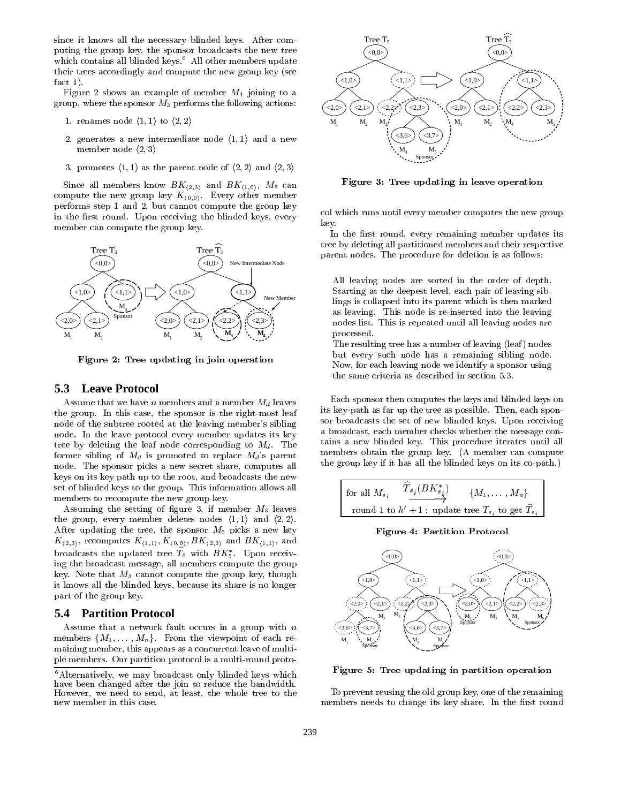since it knows all the necessary blinded keys. After com puting the group key, the sponsor broadcasts the new tree which contains all blinded keys.<sup>6</sup> All other members update their trees accordingly and compute the new group key (see fact 1).

Figure 2 shows an example of member M4 joining to <sup>a</sup> group, where the sponsor  $M_3$  performs the following actions:

- 1. renames node  $\langle 1, 1 \rangle$  to  $\langle 2, 2 \rangle$
- 2. generates a new intermediate node  $\langle 1, 1 \rangle$  and a new member node  $\langle 2, 3 \rangle$
- 3. promotes  $\langle 1, 1 \rangle$  as the parent node of  $\langle 2, 2 \rangle$  and  $\langle 2, 3 \rangle$

Since all members know  $BK_{(2,3)}$  and  $BK_{(1,0)}$ , M<sub>3</sub> can compute the new group key  $K_{(0,0)}$ . Every other member performs step 1 and 2, but cannot compute the group key in the first round. Upon receiving the blinded keys, every member can compute the group key.



Figure 2: Tree updating in join operation

#### **5.3 Leave Protocol**

Assume that we have n members and a member  $M_d$  leaves the group. In this case, the sponsor is the right-most leaf node of the subtree rooted at the leaving member's sibling node. In the leave protocol every member updates its key tree by deleting the leaf node corresponding to  $M_d$ . The former sibling of  $M_d$  is promoted to replace  $M_d$ 's parent node. The sponsor picks a new secret share, computes all keys on its key path up to the root, and broadcasts the new set of blinded keys to the group. This information allows all members to recompute the new group key.

Assuming the setting of gure 3,if member M3 leaves the group, every member deletes nodes  $\langle 1, 1 \rangle$  and  $\langle 2, 2 \rangle$ . After updating the tree, the sponsor M5 picks <sup>a</sup> new key  $K_{\langle 2,3\rangle}$ , recomputes  $K_{\langle 1,1\rangle}$ ,  $K_{\langle 0,0\rangle}$ ,  $BK_{\langle 2,3\rangle}$  and  $BK_{\langle 1,1\rangle}$ , and broadcasts the updated tree  $I_5$  with  $B\Lambda_5$ . Upon receiv- $\overline{\phantom{a}}$ ing the broadcast message, all members compute the group key. Note that  $M_3$  cannot compute the group key, though it knows all the blinded keys, because its share is no longer part of the group key.

#### **5.4 Partition Protocol**

Assume that a network fault occurs in a group with  $n$ members  $\{M_1,\ldots,M_n\}$ . From the viewpoint of each re-maining member, this appears as a concurrent leave of multiple members. Our partition protocol is a multi-round proto-



Figure 3: Tree updating in leave operation

col which runs until every member computes the new group key.

In the first round, every remaining member updates its tree by deleting all partitioned members and their respective parent nodes. The procedure for deletion is as follows:

All leaving nodes are sorted in the order of depth. Starting at the deepest level, each pair of leaving siblings is collapsed into its parent which is then marked as leaving. This node is re-inserted into the leaving nodes list. This is repeated until all leaving nodes are processed.

The resulting tree has a number of leaving (leaf) nodes but every such node has a remaining sibling node. Now, for each leaving node we identify a sponsor using the same criteria as described in section 5.3.

Each sponsor then computes the keys and blinded keys on its key-path as far up the tree as possible. Then, each sponsor broadcasts the set of new blinded keys. Upon receiving a broadcast, each member checks whether the message contains a new blinded key. This procedure iterates until all members obtain the group key. (A member can compute the group key if it has all the blinded keys on its co-path.)

$$
\begin{array}{c}\n\text{for all } M_{s_i} \quad \widehat{T}_{s_i}(BK_{s_i}^*) \\
\text{round 1 to } h' + 1: \text{ update tree } T_{s_i} \text{ to get } \widehat{T}_{s_i}\n\end{array}
$$

Figure 4: Partition Protocol



Figure 5: Tree updating in partition operation

To prevent reusing the old group key, one of the remaining members needs to change its key share. In the first round

<sup>6</sup>Alternatively, we may broadcast only blinded keys which have been changed after the join to reduce the bandwidth. However, we need to send, at least, the whole tree to the new member in this case.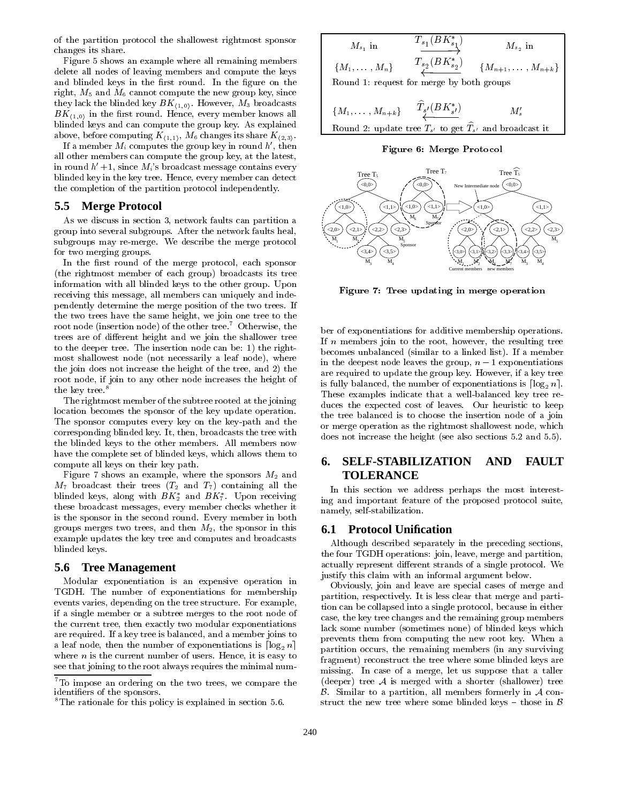of the partition protocol the shallowest rightmost sponsor changes its share.

Figure 5 shows an example where all remaining members delete all nodes of leaving members and compute the keys and blinded keys in the first round. In the figure on the right, M5 and M6 cannot compute the new group key, since they lack the blinded key  $BK_{(1,0)}$ . However,  $M_3$  broadcasts  $BK_{(1,0)}$  in the first round. Hence, every member knows all blinded keys and can compute the group key. As explained above, before computing  $K_{(1,1)}$ ,  $M_6$  changes its share  $K_{(2,3)}$ .

If a member  $M_i$  computes the group key in round  $h'$ , then all other members can compute the group key, at the latest, in round  $h' + 1$ , since  $M_i$ 's broadcast message contains every blinded key in the key tree. Hence, every member can detect the completion of the partition protocol independently.

#### **5.5 Merge Protocol**

As we discuss in section 3, network faults can partition a group into several subgroups. After the network faults heal, subgroups may re-merge. We describe the merge protocol for two merging groups.

In the first round of the merge protocol, each sponsor (the rightmost member of each group) broadcasts its tree information with all blinded keys to the other group. Upon receiving this message, all members can uniquely and independently determine the merge position of the two trees. If the two trees have the same height, we join one tree to the root node (insertion node) of the other tree.<sup>7</sup> Otherwise, the trees are of different height and we join the shallower tree to the deeper tree. The insertion node can be: 1) the rightmost shallowest node (not necessarily a leaf node), where the join does not increase the height of the tree, and 2) the root node, if join to any other node increases the height of the key tree.<sup>8</sup>

The rightmost member of the subtree rooted at the joining location becomes the sponsor of the key update operation. The sponsor computes every key on the key-path and the corresponding blinded key. It, then, broadcasts the tree with the blinded keys to the other members. All members now have the complete set of blinded keys, which allows them to  $\overline{6}$ . compute all keys on their key path.

Figure 7 shows an example, where the sponsors  $M_2$  and  $\mathbf{M} = \mathbf{M}$  broadcast trees (T2 and T7) containing all the intervals all the intervals all the intervals all the intervals all the intervals all the intervals all the intervals all the intervals all the intervals all blinded keys, along with  $B\kappa_2$  and  $B\kappa_7$ . Upon receiving  $\mathbf{r}_{\mathbf{m}}$ these broadcast messages, every member checks whether it is the sponsor in the second round. Every member in both groups merges two trees, and then  $M_2$ , the sponsor in this example updates the key tree and computes and broadcasts blinded keys.

#### **5.6 Tree Management**

Modular exponentiation is an expensive operation in TGDH. The number of exponentiations for membership events varies, depending on the tree structure. For example, if a single member or a subtree merges to the root node of the current tree, then exactly two modular exponentiations are required. If a key tree is balanced, and a member joins to a leaf node, then the number of exponentiations is  $\lceil \log_2 n \rceil$ where  $n$  is the current number of users. Hence, it is easy to see that joining to the root always requires the minimal num-

| $M_{s_1}$ in                                                             | $T_{s_1}(BK_{s_1}^*)$       | $M_s$ , in                   |  |  |  |  |
|--------------------------------------------------------------------------|-----------------------------|------------------------------|--|--|--|--|
| ${M_1,\ldots,M_n}$                                                       | $T_{s_2} (BK_{s_2}^*)$      | ${M_{n+1}, \ldots, M_{n+k}}$ |  |  |  |  |
| Round 1: request for merge by both groups                                |                             |                              |  |  |  |  |
| $\{M_1,\ldots,M_{n+k}\}$                                                 | $\hat{T}_{s'}(BK^{*}_{s'})$ | $M'$ .                       |  |  |  |  |
| Round 2: update tree $T_{s'}$ to get $\widehat{T}_{s'}$ and broadcast it |                             |                              |  |  |  |  |

Figure 6: Merge Protocol



Figure 7: Tree updating in merge operation

ber of exponentiations for additive membership operations. If <sup>n</sup> members join to the root, however, the resulting tree becomes unbalanced (similar to a linked list). If a member in the deepest node leaves the group,  $n - 1$  exponentiations are required to update the group key. However, if a key tree is fully balanced of  $\alpha$  is number of the number of the number of  $\alpha$  needs is defined in  $\alpha$ These examples indicate that a well-balanced key tree re duces the expected cost of leaves. Our heuristic to keep the tree balanced is to choose the insertion node of a join or merge operation as the rightmost shallowest node, which does not increase the height (see also sections 5.2 and 5.5).

# **6. SELF-STABILIZATION AND FAULT TOLERANCE**

In this section we address perhaps the most interesting and important feature of the proposed protocol suite, namely, self-stabilization.

#### **6.1 Protocol Unification**

Although described separately in the preceding sections, the four TGDH operations: join, leave, merge and partition, actually represent different strands of a single protocol. We justify this claim with an informal argument below.

 $\mathbb{R}^n$  partition occurs, the remaining members (in any surviving Obviously, join and leave are special cases of merge and partition, respectively. It is less clear that merge and partition can be collapsed into a single protocol, because in either case, the key tree changes and the remaining group members lack some number (sometimes none) of blinded keys which prevents them from computing the new root key. When a fragment) reconstruct the tree where some blinded keys are missing. In case of a merge, let us suppose that a taller (deeper) tree  $A$  is merged with a shorter (shallower) tree  $\beta$ . Similar to a partition, all members formerly in  $\mathcal A$  construct the new tree where some blinded keys - those in  $\beta$ 

<sup>7</sup>To impose an ordering on the two trees, we compare the identiers of the sponsors.

<sup>8</sup>The rationale for this policy is explained in section 5.6.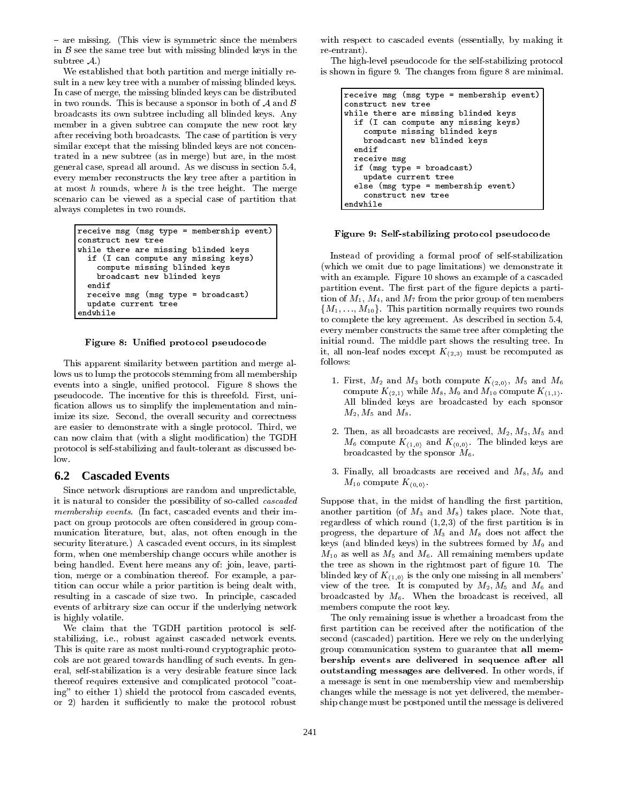{ are missing. (This view is symmetric since the members in  $\beta$  see the same tree but with missing blinded keys in the subtree  $\mathcal{A}$ .) subtree A.)

We established that both partition and merge initially result in a new key tree with a number of missing blinded keys. In case of merge, the missing blinded keys can be distributed in two rounds. This is because a sponsor in both of  $A$  and  $B$ broadcasts its own subtree including all blinded keys. Any member in a given subtree can compute the new root key after receiving both broadcasts. The case of partition is very similar except that the missing blinded keys are not concentrated in a new subtree (as in merge) but are, in the most general case, spread all around. As we discuss in section 5.4, every member reconstructs the key tree after a partition in at most  $h$  rounds, where  $h$  is the tree height. The merge scenario can be viewed asa special case of partition that always completes in two rounds.

```
receive msg (msg type = membership event)
communication and construction and construction of the construction of the construction of the construction of
while there are missing there are no produced by
    if (I can compute any mission in the computer of \mathcal{L}_{\mathcal{A}}compute mission and an analysism and he computer and a series of the contract of the contract of the contract of the contract of the contract of the contract of the contract of the contract of the contract of the contract 
       broadcast new blinded keys
   endifreceive msg (msg type = broadcast)
    upuate current trees
endwhile
```
Figure 8: Unied protocol pseudocode

This apparent similarity between partition and merge allows us to lump the protocols stemming from all membership events into a single, unified protocol. Figure 8 shows the pseudocode. The incentive for this is threefold. First, uni fication allows us to simplify the implementation and minimize its size. Second, the overall security and correctness are easier to demonstrate with a single protocol. Third, we can now claim that (with a slight modication) the TGDH protocol is self-stabilizing and fault-tolerant as discussed below.

#### **6.2 Cascaded Events**

Since network disruptions are random and unpredictable, it is natural to consider the possibility of so-called cascaded membership events. (In fact, cascaded events and their impact on group protocols are often considered in group com munication literature, but, alas, not often enough in the security literature.) A cascaded event occurs, in its simplest form, when one membership change occurs while another is being handled. Event here means any of: join, leave, partition, merge or a combination thereof. For example, a partition can occur while a prior partition is being dealt with, resulting in a cascade of size two. In principle, cascaded events of arbitrary size can occur if the underlying network is highly volatile.

We claim that the TGDH partition protocol is selfstabilizing, i.e., robust against cascaded network events. This is quite rare as most multi-round cryptographic protocols are not geared towards handling of such events. In general, self-stabilization is a very desirable feature since lack thereof requires extensive and complicated protocol "coating" to either 1) shield the protocol from cascaded events, or 2) harden it sufficiently to make the protocol robust with respect to cascaded events (essentially, by making it re-entrant). re-entrant).

The high-level pseudocode for the self-stabilizing protocol is shown in figure 9. The changes from figure 8 are minimal.

```
receive msg (msg type = membership event)
while the there missing blinded keys are as a second that the second the second term of the second term of the
   if \alpha is a computer any mission \alpha and \alphacompare mission and blinded keys and he
      broadcast new blinded keys
  endifreceive msg
   \mathbf{r} . The state of \mathbf{r} is the state of \mathbf{r}upuate current tree
   else (msg type = membership event)
      construction in the contract of the contract of the contract of the contract of the contract of the contract o
endwhile
```
#### Figure 9: Self-stabilizing protocol pseudocode

Instead of providing a formal proof of self-stabilization (which we omit due to page limitations) we demonstrate it with an example. Figure 10 shows an example of a cascaded partition event. The first part of the figure depicts a partition of  $M_1$ ,  $M_4$ , and  $M_7$  from the prior group of ten members  $\frac{1}{2}$  ;  $\frac{1}{2}$  ;  $\frac{1}{2}$  ;  $\frac{1}{2}$  ;  $\frac{1}{2}$  ;  $\frac{1}{2}$  ;  $\frac{1}{2}$  ;  $\frac{1}{2}$  ;  $\frac{1}{2}$  ;  $\frac{1}{2}$  ;  $\frac{1}{2}$  ;  $\frac{1}{2}$  ;  $\frac{1}{2}$  ;  $\frac{1}{2}$  ;  $\frac{1}{2}$  ;  $\frac{1}{2}$  ;  $\frac{1}{2}$  ;  $\frac{1}{2}$  ;  $\frac{1$ to complete the key agreement. As described in section 5.4, every member constructs the same tree after completing the initial round. The middle part shows the resulting tree. In it, all non-leaf nodes except  $K_{(2,3)}$  must be recomputed as follows:

- $1.$  First, M2 and M3 both computer  $1.2$ ;0ii and M5 and M5  $\sigma$ compute  $K_{(2,1)}$  while  $M_8$ ,  $M_9$  and  $M_{10}$  compute  $K_{(1,1)}$ . All blinded keys are broadcasted by each sponsor  $\mathcal{L} \left( \mathcal{L} \right)$  and  $\mathcal{L} \left( \mathcal{L} \right)$ .
- 2. Then, as all broadcasts are received,  $M_2, M_3, M_5$  and me of the the blinder and the blinder are the blinder and the blinder are the blinder are blinded and the blinder are the blinder and the blinder and the blinder and the blinder and the blinder and the blinder are the blin broadcasted by the sponsor  $M_6$ .
- $3.$  Finally, all broadcasts are received and  $M_{3/2}$  and  $M_{3/2}$ m 10 computer Kh0;0;

Suppose that, in the midst of handling the first partition, another partition (of  $M_3$  and  $M_8$ ) takes place. Note that, regardless of which round  $(1,2,3)$  of the first partition is in progress, the departure of  $M_3$  and  $M_8$  does not affect the keys (and blinded keys) in the subtrees formed by  $M_9$  and ma<sub>l</sub>  $\sigma$  as well as may mean may. Then a members  $\sigma$  members up dates the tree as shown in the rightmost part of figure 10. The blinded key of  $K_{(1,0)}$  is the only one missing in all members' view of the tree. It is computed by  $M_2$ ,  $M_0$  and  $M_0$  and  $M_0$ broadcasted by M6 . When the broadcasted by M6 . When the broadcasted by M6 . When the broadcasted by M6 . When the broadcasted by M6 . When the broadcasted by M6 . When the broadcasted by M6 . When the broadcasted by M6 . members compute the root key.

The only remaining issue is whether a broadcast from the first partition can be received after the notification of the second (cascaded) partition. Here we rely on the underlying group communication system to guarantee that all mem bership events are delivered in sequence after all outstanding messages are delivered. In other words, if a message is sent in one membership view and membership changes while the message is not yet delivered, the membership change must be postponed until the message is delivered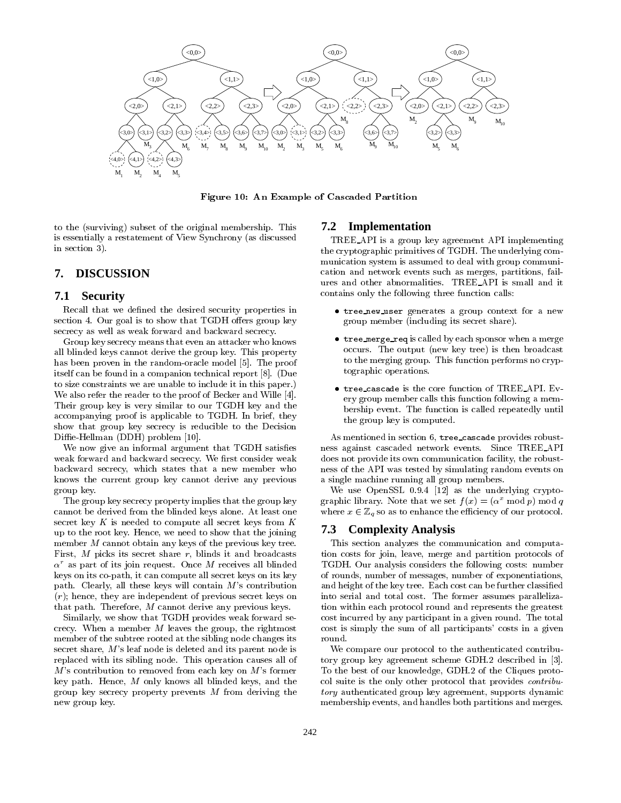

Figure 10: An Example of Cascaded Partition

to the (surviving) subset of the original membership. This is essentially a restatement of View Synchrony (as discussed in section 3).

## **7. DISCUSSION**

#### **7.1 Security**

Recall that we defined the desired security properties in section 4. Our goal is to show that TGDH offers group key secrecy as well as weak forward and backward secrecy.

Group key secrecy means that even an attacker who knows all blinded keys cannot derive the group key. This property has been proven in the random-oracle model [5]. The proof itself can be found in a companion technical report [8]. (Due to size constraints we are unable to include it in this paper.) We also refer the reader to the proof of Becker and Wille [4]. Their group key is very similar to our TGDH key and the accompanying proof is applicable to TGDH. In brief, they show that group key secrecy is reducible to the Decision Diffie-Hellman (DDH) problem [10].

We now give an informal argument that TGDH satisfies weak forward and backward secrecy. We first consider weak backward secrecy, which states that a new member who knows the current group key cannot derive any previous group key.

The group key secrecy property implies that the group key cannot be derived from the blinded keys alone. At least one secret key  $K$  is needed to compute all secret keys from  $K$ up to the root key. Hence, we need to show that the joining member <sup>M</sup> cannot obtain any keys of the previous key tree. First,  $M$  picks its secret share  $r$ , blinds it and broadcasts  $\alpha^r$  as part of its join request. Once M receives all blinded keys on its co-path, it can compute all secret keys on its key path. Clearly, all these keys will contain  $M$ 's contribution (r); hence, they are independent of previous secret keys on that path. Therefore, <sup>M</sup> cannot derive any previous keys.

Similarly, we show that TGDH provides weak forward secrecy. When a member <sup>M</sup> leaves the group, the rightmost member of the subtree rooted at the sibling node changes its secret share, <sup>M</sup>'s leaf node is deleted and its parent node is replaced with its sibling node. This operation causes all of  $M$ 's contribution to removed from each key on  $M$ 's former key path. Hence, <sup>M</sup> only knows all blinded keys, and the group key secrecy property prevents <sup>M</sup> from deriving the new group key.

#### **7.2 Implementation**

TREE API is a group key agreement API implementing the cryptographic primitives of TGDH. The underlying com munication system is assumed to deal with group communication and network events such as merges, partitions, fail ures and other abnormalities. TREE API is small and it contains only the following three function calls:

- tree new user generates a group context for a new group member (including its secret share).
- tree merge req is called by each sponsor when a merge occurs. The output (new key tree) is then broadcast to the merging group. This function performs no cryptographic operations.
- tree cascade is the core function of TREE API. Every group member calls this function following a membership event. The function is called repeatedly until the group key is computed.

As mentioned in section 6, tree cascade provides robust ness against cascaded network events. Since TREE API does not provide its own communication facility, the robustness of the API was tested by simulating random events on a single machine running all group members.

We use OpenSSL 0.9.4 [12] as the underlying cryptographic library. Note that we set  $f(x)=(\alpha^x \mod p) \mod q$ where  $x \in \mathbb{Z}_q$  so as to enhance the efficiency of our protocol.

#### **7.3 Complexity Analysis**

This section analyzes the communication and computation costs for join, leave, merge and partition protocols of TGDH. Our analysis considers the following costs: number of rounds, number of messages, number of exponentiations, and height of the key tree. Each cost can be further classied into serial and total cost. The former assumes parallelization within each protocol round and represents the greatest cost incurred by any participant in a given round. The total cost is simply the sum of all participants' costs in a given round.

We compare our protocol to the authenticated contributory group key agreement scheme GDH.2 described in [3]. To the best of our knowledge, GDH.2 of the Cliques protocol suite is the only other protocol that provides contributory authenticated group key agreement, supports dynamic membership events, and handles both partitions and merges.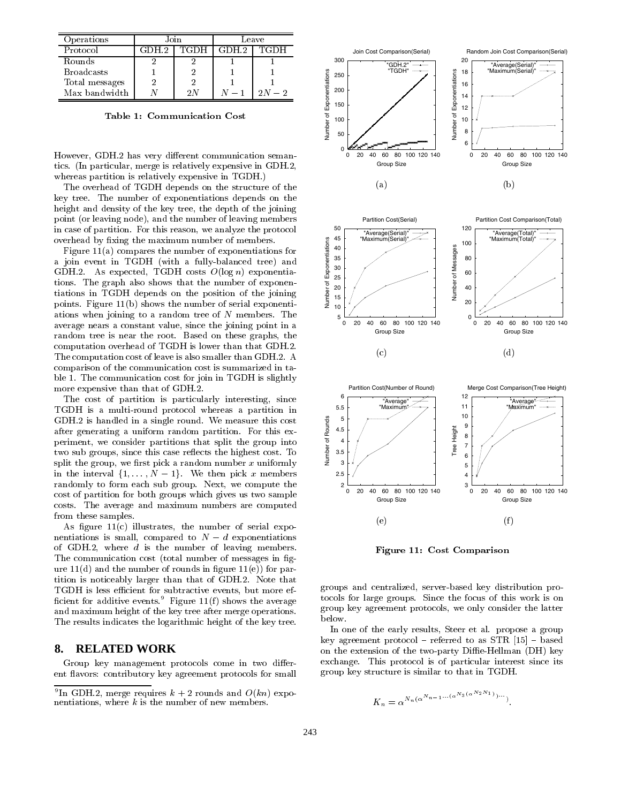| Operations        | Join |             | Leave |             |                |
|-------------------|------|-------------|-------|-------------|----------------|
| Protocol          |      | <b>TGDH</b> | 2DH 2 | <b>TGDH</b> |                |
| Rounds            |      |             |       |             | 3              |
| <b>Broadcasts</b> |      |             |       |             | 동 2            |
| Total messages    |      |             |       |             |                |
| Max bandwidth     |      | 2 N         |       | $2N - 2$    | $\overline{2}$ |

Table 1: Communication Cost

However, GDH.2 has very different communication semantics. (In particular, merge is relatively expensive in GDH.2, whereas partition is relatively expensive in TGDH.)

The overhead of TGDH depends on the structure of the key tree. The number of exponentiations depends on the height and density of the key tree, the depth of the joining point (or leaving node), and the number of leaving members in case of partition. For this reason, we analyze the protocol overhead by fixing the maximum number of members.

Figure 11(a) compares the number of members.<br>Figure 11(a) compares the number of exponentiations for<br>join event in TGDH (with a fully-balanced tree) and<br>DH.2. As expected, TGDH costs  $O(\log n)$  exponentiaa join event in TGDH (with a fully-balanced tree) and GDH.2. As expected, TGDH costs  $O(\log n)$  exponentiations. The graph also shows that the number of exponentiations in TGDH depends on the position of the joining<br>points. Figure 11(b) shows the number of serial exponentipoints. Figure 11(b) shows the number of serial exponentiations when joining to a random tree of <sup>N</sup> members. The average nears a constant value, since the joining point in a random tree is near the root. Based on these graphs, the computation overhead of TGDH is lower than that GDH.2. The computation cost of leave is also smaller than GDH.2. A comparison of the communication cost is summarized in table 1. The communication cost for join in TGDH is slightly more expensive than that of GDH.2.

The cost of partition is particularly interesting, since TGDH is a multi-round protocol whereas a partition in GDH.2 is handled in a single round. We measure this cost<br>after generating a uniform random partition. For this ex-<br>periment, we consider partitions that split the group into<br>two sub groups, since this case reflects the hi after generating a uniform random partition. For this ex periment, we consider partitions that split the group into two sub groups, since this case reflects the highest cost. To split the group, we first pick a random number  $x$  uniformly in the interval  $\{1,\ldots,N-1\}$ . We then pick x members randomly to form each sub group. Next, we compute the cost of partition for both groups which gives us two sample costs. The average and maximum numbers are computed from these samples.

As figure  $11(c)$  illustrates, the number of serial exponentiations is small, compared to  $N - d$  exponentiations of GDH.2, where <sup>d</sup> is the number of leaving members. The communication cost (total number of messages in figure  $11(d)$  and the number of rounds in figure  $11(e)$  for partition is noticeably larger than that of GDH.2. Note that TGDH is less efficient for subtractive events, but more efficient for additive events.<sup>9</sup> Figure 11(f) shows the average and maximum height of the key tree after merge operations. The results indicates the logarithmic height of the key tree.

## **8. RELATED WORK**

Group key management protocols come in two different flavors: contributory key agreement protocols for small



Figure 11: Cost Comparison

groups and centralized, server-based key distribution protocols for large groups. Since the focus of this work is on group key agreement protocols, we only consider the latter below.

In one of the early results, Steer et al. propose a group key agreement protocol - referred to as  $STR$  [15] - based on the extension of the two-party Diffie-Hellman (DH) key exchange. This protocol is of particular interest since its group key structure is similar to that in TGDH.

$$
K_n = \alpha^{N_n(\alpha^{N_n-1\cdots(\alpha^{N_3(\alpha^{N_2N_1})})\cdots)}}.
$$

In GDH.2, merge requires  $k + 2$  rounds and  $O(kn)$  exponentiations, where  $k$  is the number of new members.